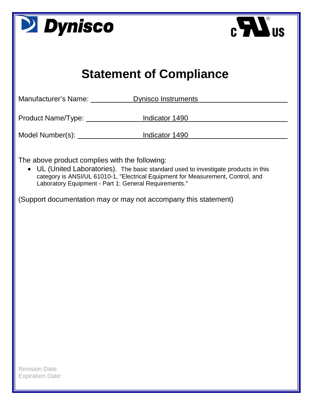| <b>D</b> Dynisco<br>$\mathbf{H}$ in $\mathbf{H}$                                                                                                                                                                                                                                                                                                      |  |  |  |  |
|-------------------------------------------------------------------------------------------------------------------------------------------------------------------------------------------------------------------------------------------------------------------------------------------------------------------------------------------------------|--|--|--|--|
| <b>Statement of Compliance</b>                                                                                                                                                                                                                                                                                                                        |  |  |  |  |
| <b>Dynisco Instruments</b><br>Manufacturer's Name: University Manufacturer's Name:                                                                                                                                                                                                                                                                    |  |  |  |  |
| Product Name/Type: https://www.findicator 1490                                                                                                                                                                                                                                                                                                        |  |  |  |  |
| Model Number(s): Model Number(s): Model Number(s): Model Number(s): Letter Model And Model And Model And Model A                                                                                                                                                                                                                                      |  |  |  |  |
| The above product complies with the following:<br>• UL (United Laboratories). The basic standard used to investigate products in this<br>category is ANSI/UL 61010-1, "Electrical Equipment for Measurement, Control, and<br>Laboratory Equipment - Part 1: General Requirements."<br>(Support documentation may or may not accompany this statement) |  |  |  |  |
| <b>Revision Date:</b><br><b>Expiration Date:</b>                                                                                                                                                                                                                                                                                                      |  |  |  |  |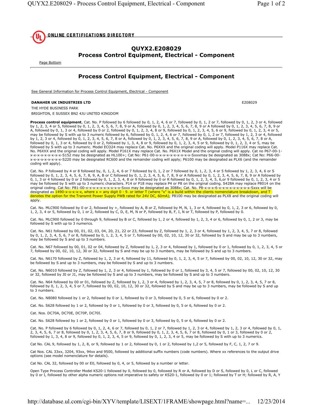

## **QUYX2.E208029 Process Control Equipment, Electrical - Component**

Page Bottom

## **Process Control Equipment, Electrical - Component**

See General Information for Process Control Equipment, Electrical - Component

## **DANAHER UK INDUSTRIES LTD**

THE HYDE BUSINESS PARK

BRIGHTON, E SUSSEX BN2 4JU UNITED KINGDOM

Process control equipment, Cat. No. P followed by 6 followed by 0, 1, 2, 4, 6 or 7, followed by 0, 1, 2 or 7, followed by 0, 1, 2, 3 or 4, followed by 1, 2, 3, 4 or 5, followed by 0, 1, 2, 3, 4, 5, 6, 7, 8, 9 or A, followed by 0, 1, 2, 3, 4, 5, 6, 7, 8, 9 or A followed by 0, 1, 2, 3, 4, 5, 6, 7, 8, 9 or A, followed by 0, 1, 3 or 4, followed by 0 or 2, followed by 0, 1, 2, 3, 4, 8 or 9, followed by 0, 1, 2, 3, 4, 5, 6 or 9, followed by 0, 1, 2, 3, 4 or 5, may be followed by 0, 1, 2, 3, 4 or 5, may be followed by S with up by 1, 2, 3 or 4, followed by 0, 1, 2, 3, 4, 5, 6, 7, 8 or A, followed by 0, 1, 2, 3, 4, 5, 6, 7, 8, 9 or A, followed by 0, 1, 2, 3, 4, 5, 6, 7, 8 or A, followed by 0, 1, 2, 3, 4, 5, 6, 7, 8 or A, followed by 0, 1, 2, 3, 4, followed by S with up to 3 numeric. Model ECO24 may replace Cat. No. P6XXX and the original coding will apply. Model P116X may replace Cat. No. P6XXX and the original coding will apply. Model P161X may replace Cat. No. P6X1X Model and the original coding will apply. Cat no P67-00-1x-x-x-x-x-x-x-x-x-x-S152 may be designated as HL100+; Cat No: P61-00-x-x-x-x-x-x-x-x-x-x-x-Sxxxmay be designated as 3088x; Cat No: P66-00x-x-x-x-x-x-x-x-x-x-S220 may be designated RC600 and the remainder coding will apply; P6100 may be designated as PLX6 (and the remainder coding will apply).

Cat. No. P followed by 4 or 8 followed by, 0, 1, 2, 4, 6 or 7 followed by 0, 1, 2 or 7 followed by 0, 1, 2, 3, 4 or 5 followed by 1, 2, 3, 4, 6 or S<br>followed by 0, 1, 2, 3, 4, 5, 6, 7, 8, 9, A, B or C followed by 0, 1, 2, 0, 1, 3 or 4 followed by 0 or 2 followed by 0, 1, 2, 3, 4, 8 or 9 followed by 0 or R followed by 0, 1, 2, 3, 4, 5, 6, or 9 followed by 0, 1, 2, 3, 4 or 5 may be followed by S with up to 3 numeric characters. P14 or P18 may replace P4 or P8 on the original coding. S428A may replace P8014 on the apply.

Cat. No. MLC900 followed by 0 or 2, followed by +, followed by A, B or Z, followed by M, N, 1, 3 or 4, followed by 0, 1, 2, 3 or 6, followed by 0, 1, 2, 3, 4 or 5, followed by 0, 1 or 2, followed by C, D, E, M, N or P, followed by B, F, I, N or T, followed by P, followed by 0.

Cat. No. MLC900 followed by 0 through 9, followed by B or C, followed by 1, 2 or 4, followed by 1, 2, 3, 4 or 6, followed by 0, 1, 2 or 3, may be followed by S with up to 3 numerics.

Cat. No. N61 followed by 00, 01, 02, 03, 04, 20, 21, 22 or 23, followed by Z, followed by 1, 2, 3 or 4, followed by 1, 2, 3, 4, 5, 7 or 8, followed by 0, 1, 2, 3, 4, 5, 6, 7 or 8, followed by 0, 1, 2, 3, 4, 5 or 7, followed by 00, 02, 10, 12, 30 or 32, followed by S and may be up to 3 numbers, may be followed by S and up to 3 numbers.

Cat. No. N67 followed by 00, 01, 02 or 04, followed by Z, followed by 1, 2, 3 or 4, followed by 1, followed by 0 or 1, followed by 0, 1, 2, 3, 4, 5 or 7, followed by 00, 02, 10, 12, 30 or 32, followed by S and may be up to 3 numbers, may be followed by S and up to 3 numbers.

Cat. No. N6170 followed by Z, followed by 1, 2, 3 or 4, followed by 11, followed by 0, 1, 2, 3, 4, 5 or 7, followed by 00, 02, 10, 12, 30 or 32, may be followed by S and up to 3 numbers, may be followed by S and up to 3 numbers.

Cat. No. N6010 followed by Z, followed by 1, 2, 3 or 4, followed by 1, followed by 0 or 1, followed by 3, 4, 5 or 7, followed by 00, 02, 10, 12, 30 or 32, followed by J0 or J1, may be followed by S and up to 3 numbers, may be followed by S and up to 3 numbers.

Cat. No. N64 followed by 00 or 01, followed by Z, followed by 1, 2, 3 or 4, followed by 1, 2, 3, 4, 5, 7 or 8, followed by 0, 1, 2, 3, 4, 5, 7 or 8, followed by 0, 1, 2, 3, 4, 5 or 7, followed by 00, 02, 10, 12, 30 or 32, followed by S and may be up to 3 numbers, may be followed by S and up to 3 numbers.

Cat. No. N8080 followed by 1 or 2, followed by 0 or 1, followed by 0 or 3, followed by 0, 5 or 6, followed by 0 or 2.

Cat. No. S628 followed by 1 or 2, followed by 0 or 1, followed by 0 or 3, followed by 0, 5 or 6, followed by 0 or 2.

Cat. Nos. DC70A, DC70E, DC70P, DC70I.

Cat. No. S628 followed by 1 or 2, followed by 0 or 1, followed by 0 or 3, followed by 0, 5 or 6, followed by 0 or 2.

Cat. No. P followed by 6 followed by 0, 1, 2, 4, 6 or 7, followed by 0, 1, 2 or 7, followed by 1, 2, 3 or 4, followed by 1, 2, 3 or 4, followed by 0, 1, 2, 3, 4, 5, 6, 7 or 8, followed by 0, 1, 2, 3, 4, 5, 6, 7, 8 or 9, followed by 0, 1, 2, 3, 4, 5, 6, 7 or 8, followed by 0, 1 or 3, followed by 0, 1 or 3, followed by 0 or 2, followed by 0, 1, 2, 3, 4, 5, 6, 7 or 8, follow

Cat No. CAL 9, followed by 1, 2, 8, or 9, followed by 1 or 2, followed by 0, 1 or 2, followed by 1,2 or 5, followed by F, C, 1, 2, 7 or 9.

Cat Nos. CAL 33xx, 3204, 93xx, 94xx and 9500, followed by additional suffix numbers (code numbers). Where xx references to the output drive options (see model nomenclature for details).

Cat No. CAL 32, followed by 00 or E0, followed by 0, 4, or 5, followed by a number or letter.

Open Type Process Controller Model KS20-1 followed by 0, followed by 0, followed by R or A, followed by D or S, followed by 0, L or C, followed by 0 or I, followed by other alpha numeric options not imperative to safety or KS20-1, followed by 0 or 1; followed by T or H; followed by R, A, Y

E208029